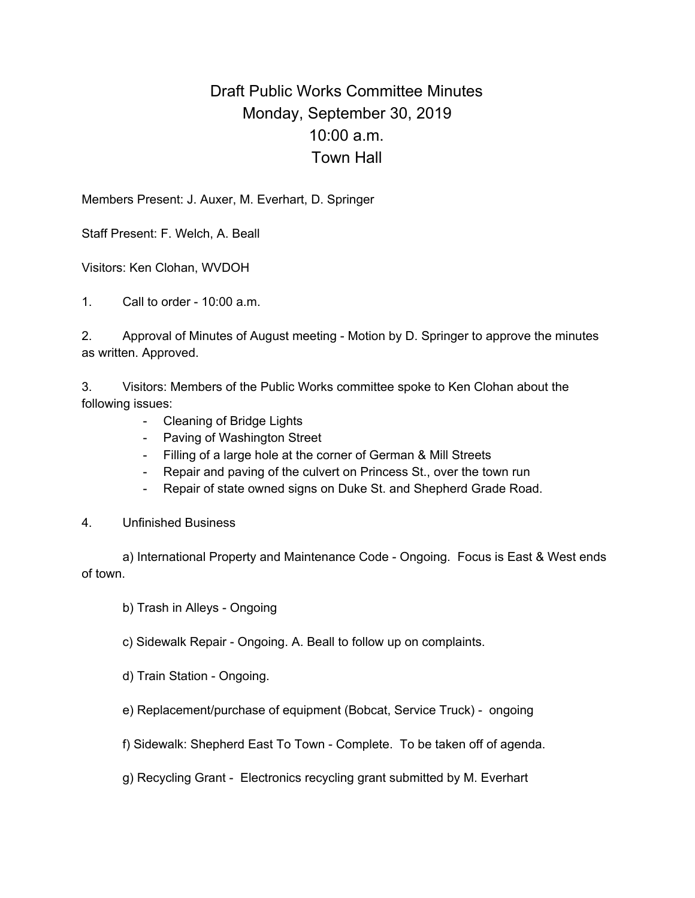## Draft Public Works Committee Minutes Monday, September 30, 2019 10:00 a.m. Town Hall

Members Present: J. Auxer, M. Everhart, D. Springer

Staff Present: F. Welch, A. Beall

Visitors: Ken Clohan, WVDOH

1. Call to order - 10:00 a.m.

2. Approval of Minutes of August meeting - Motion by D. Springer to approve the minutes as written. Approved.

3. Visitors: Members of the Public Works committee spoke to Ken Clohan about the following issues:

- Cleaning of Bridge Lights
- Paving of Washington Street
- Filling of a large hole at the corner of German & Mill Streets
- Repair and paving of the culvert on Princess St., over the town run
- Repair of state owned signs on Duke St. and Shepherd Grade Road.
- 4. Unfinished Business

a) International Property and Maintenance Code - Ongoing. Focus is East & West ends of town.

b) Trash in Alleys - Ongoing

c) Sidewalk Repair - Ongoing. A. Beall to follow up on complaints.

d) Train Station - Ongoing.

e) Replacement/purchase of equipment (Bobcat, Service Truck) - ongoing

f) Sidewalk: Shepherd East To Town - Complete. To be taken off of agenda.

g) Recycling Grant - Electronics recycling grant submitted by M. Everhart